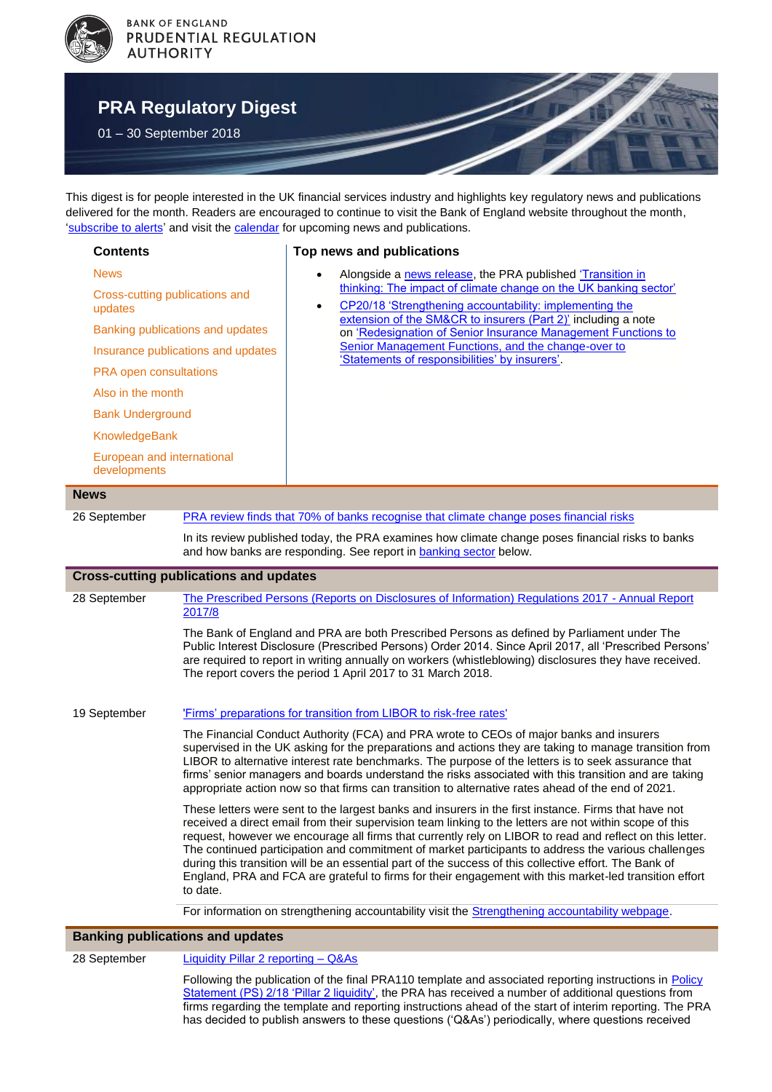

# **[PRA Regulatory Digest](http://www.bankofengland.co.uk/pra/Pages/default.aspx)**

01 – 30 September 2018

This digest is for people interested in the UK financial services industry and highlights key regulatory news and publications delivered for the month. Readers are encouraged to continue to visit the Bank of England website throughout the month, ['subscribe to alerts'](http://www.bankofengland.co.uk/Pages/subscribe.aspx) and visit the [calendar](http://www.bankofengland.co.uk/publications/Pages/calendar/default.aspx) for upcoming news and publications.

#### <span id="page-0-3"></span><span id="page-0-1"></span><span id="page-0-0"></span>**Contents** [News](#page-0-0) [Cross-cutting publications](#page-0-1) and [updates](#page-0-1) [Banking publications](#page-0-2) and updates [Insurance publications and updates](#page-1-0) [PRA open consultations](#page-2-0) [Also in the month](#page-2-1) [Bank Underground](#page-2-2) [KnowledgeBank](#page-2-3) [European and international](#page-2-4)  [developments](#page-2-4) **Top news and publications** Alongside a [news release,](#page-0-3) the PRA published 'Transition in [thinking: The impact of climate change on the UK banking sector'](#page-1-1) [CP20/18 'Strengthening accountability: implementing the](#page-1-2)  [extension of the SM&CR to insurers \(Part 2\)'](#page-1-2) including a note on ['Redesignation of Senior Insurance Management Functions to](#page-2-5)  [Senior Management Functions, and the change-over to](#page-2-5)  ['Statements of responsibilities' by insurers'.](#page-2-5) **News**  26 September [PRA review finds that 70% of banks recognise that climate change poses financial risks](https://www.bankofengland.co.uk/news/2018/september/transition-in-thinking-the-impact-of-climate-change-on-the-uk-banking-sector) In its review published today, the PRA examines how climate change poses financial risks to banks and how banks are responding. See report in [banking sector](#page-1-1) below. **Cross-cutting publications and updates** 28 September [The Prescribed Persons \(Reports on Disclosures of Information\) Regulations 2017 -](https://www.bankofengland.co.uk/whistleblowing) Annual Report [2017/8](https://www.bankofengland.co.uk/whistleblowing) The Bank of England and PRA are both Prescribed Persons as defined by Parliament under The Public Interest Disclosure (Prescribed Persons) Order 2014. Since April 2017, all 'Prescribed Persons' are required to report in writing annually on workers (whistleblowing) disclosures they have received. The report covers the period 1 April 2017 to 31 March 2018. 19 September ['Firms' preparations for transition from LIBOR to risk-free rates'](https://www.bankofengland.co.uk/prudential-regulation/letter/2018/firms-preparations-for-transition-from-libor-to-risk-free-rates) The Financial Conduct Authority (FCA) and PRA wrote to CEOs of major banks and insurers supervised in the UK asking for the preparations and actions they are taking to manage transition from LIBOR to alternative interest rate benchmarks. The purpose of the letters is to seek assurance that firms' senior managers and boards understand the risks associated with this transition and are taking appropriate action now so that firms can transition to alternative rates ahead of the end of 2021. These letters were sent to the largest banks and insurers in the first instance. Firms that have not received a direct email from their supervision team linking to the letters are not within scope of this request, however we encourage all firms that currently rely on LIBOR to read and reflect on this letter. The continued participation and commitment of market participants to address the various challenges during this transition will be an essential part of the success of this collective effort. The Bank of England, PRA and FCA are grateful to firms for their engagement with this market-led transition effort to date. For information on strengthening accountability visit the **Strengthening accountability webpage**. **Banking publications and updates**

<span id="page-0-2"></span>28 September [Liquidity Pillar 2 reporting –](https://www.bankofengland.co.uk/prudential-regulation/regulatory-reporting/regulatory-reporting-banking-sector) Q&As

Following the publication of the final PRA110 template and associated reporting instructions in [Policy](https://www.bankofengland.co.uk/prudential-regulation/publication/2016/pillar-2-liquidity)  [Statement \(PS\) 2/18 'Pillar 2 liquidity',](https://www.bankofengland.co.uk/prudential-regulation/publication/2016/pillar-2-liquidity) the PRA has received a number of additional questions from firms regarding the template and reporting instructions ahead of the start of interim reporting. The PRA has decided to publish answers to these questions ('Q&As') periodically, where questions received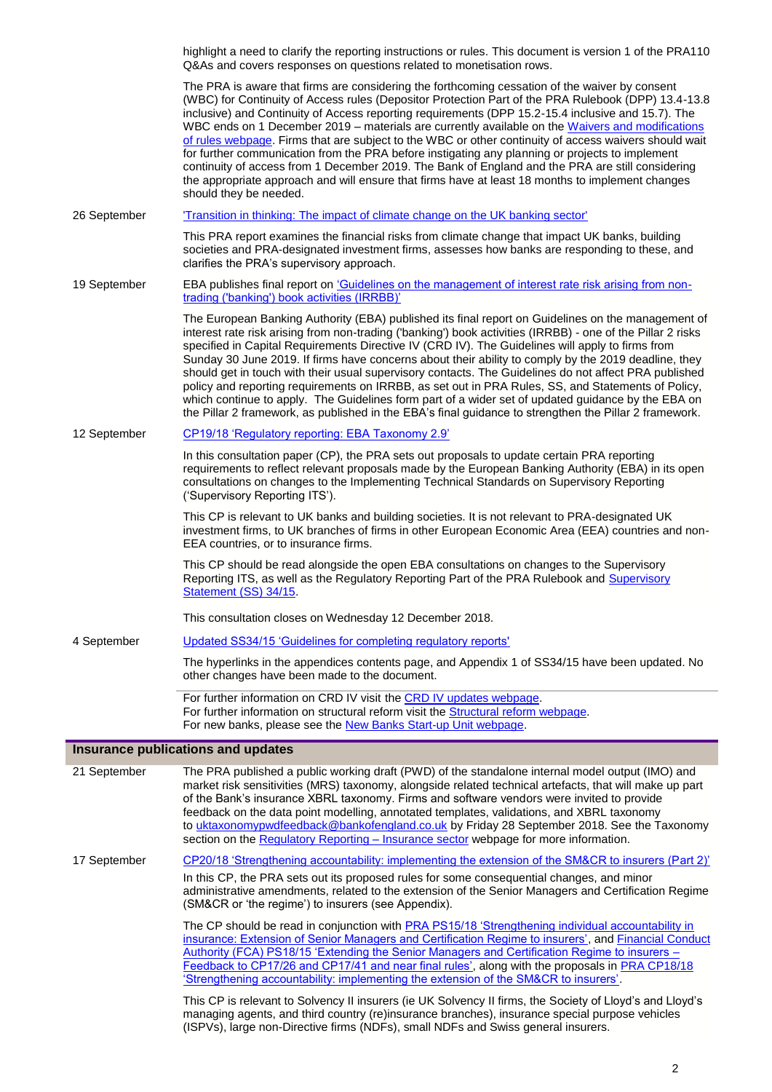<span id="page-1-2"></span><span id="page-1-1"></span><span id="page-1-0"></span>

|              | highlight a need to clarify the reporting instructions or rules. This document is version 1 of the PRA110<br>Q&As and covers responses on questions related to monetisation rows.                                                                                                                                                                                                                                                                                                                                                                                                                                                                                                                                                                                                                                                                             |
|--------------|---------------------------------------------------------------------------------------------------------------------------------------------------------------------------------------------------------------------------------------------------------------------------------------------------------------------------------------------------------------------------------------------------------------------------------------------------------------------------------------------------------------------------------------------------------------------------------------------------------------------------------------------------------------------------------------------------------------------------------------------------------------------------------------------------------------------------------------------------------------|
|              | The PRA is aware that firms are considering the forthcoming cessation of the waiver by consent<br>(WBC) for Continuity of Access rules (Depositor Protection Part of the PRA Rulebook (DPP) 13.4-13.8<br>inclusive) and Continuity of Access reporting requirements (DPP 15.2-15.4 inclusive and 15.7). The<br>WBC ends on 1 December 2019 - materials are currently available on the Waivers and modifications<br>of rules webpage. Firms that are subject to the WBC or other continuity of access waivers should wait<br>for further communication from the PRA before instigating any planning or projects to implement<br>continuity of access from 1 December 2019. The Bank of England and the PRA are still considering<br>the appropriate approach and will ensure that firms have at least 18 months to implement changes<br>should they be needed. |
| 26 September | 'Transition in thinking: The impact of climate change on the UK banking sector'                                                                                                                                                                                                                                                                                                                                                                                                                                                                                                                                                                                                                                                                                                                                                                               |
|              | This PRA report examines the financial risks from climate change that impact UK banks, building<br>societies and PRA-designated investment firms, assesses how banks are responding to these, and<br>clarifies the PRA's supervisory approach.                                                                                                                                                                                                                                                                                                                                                                                                                                                                                                                                                                                                                |
| 19 September | EBA publishes final report on 'Guidelines on the management of interest rate risk arising from non-<br>trading ('banking') book activities (IRRBB)'                                                                                                                                                                                                                                                                                                                                                                                                                                                                                                                                                                                                                                                                                                           |
|              | The European Banking Authority (EBA) published its final report on Guidelines on the management of<br>interest rate risk arising from non-trading ('banking') book activities (IRRBB) - one of the Pillar 2 risks<br>specified in Capital Requirements Directive IV (CRD IV). The Guidelines will apply to firms from<br>Sunday 30 June 2019. If firms have concerns about their ability to comply by the 2019 deadline, they<br>should get in touch with their usual supervisory contacts. The Guidelines do not affect PRA published<br>policy and reporting requirements on IRRBB, as set out in PRA Rules, SS, and Statements of Policy,<br>which continue to apply. The Guidelines form part of a wider set of updated guidance by the EBA on<br>the Pillar 2 framework, as published in the EBA's final guidance to strengthen the Pillar 2 framework.  |
| 12 September | CP19/18 'Regulatory reporting: EBA Taxonomy 2.9'                                                                                                                                                                                                                                                                                                                                                                                                                                                                                                                                                                                                                                                                                                                                                                                                              |
|              | In this consultation paper (CP), the PRA sets out proposals to update certain PRA reporting<br>requirements to reflect relevant proposals made by the European Banking Authority (EBA) in its open<br>consultations on changes to the Implementing Technical Standards on Supervisory Reporting<br>('Supervisory Reporting ITS').                                                                                                                                                                                                                                                                                                                                                                                                                                                                                                                             |
|              | This CP is relevant to UK banks and building societies. It is not relevant to PRA-designated UK<br>investment firms, to UK branches of firms in other European Economic Area (EEA) countries and non-<br>EEA countries, or to insurance firms.                                                                                                                                                                                                                                                                                                                                                                                                                                                                                                                                                                                                                |
|              | This CP should be read alongside the open EBA consultations on changes to the Supervisory<br>Reporting ITS, as well as the Regulatory Reporting Part of the PRA Rulebook and Supervisory<br>Statement (SS) 34/15.                                                                                                                                                                                                                                                                                                                                                                                                                                                                                                                                                                                                                                             |
|              | This consultation closes on Wednesday 12 December 2018.                                                                                                                                                                                                                                                                                                                                                                                                                                                                                                                                                                                                                                                                                                                                                                                                       |
| 4 September  | Updated SS34/15 'Guidelines for completing regulatory reports'                                                                                                                                                                                                                                                                                                                                                                                                                                                                                                                                                                                                                                                                                                                                                                                                |
|              | The hyperlinks in the appendices contents page, and Appendix 1 of SS34/15 have been updated. No<br>other changes have been made to the document.                                                                                                                                                                                                                                                                                                                                                                                                                                                                                                                                                                                                                                                                                                              |
|              | For further information on CRD IV visit the CRD IV updates webpage.<br>For further information on structural reform visit the Structural reform webpage.<br>For new banks, please see the New Banks Start-up Unit webpage.                                                                                                                                                                                                                                                                                                                                                                                                                                                                                                                                                                                                                                    |
|              | Insurance publications and updates                                                                                                                                                                                                                                                                                                                                                                                                                                                                                                                                                                                                                                                                                                                                                                                                                            |
| 21 September | The PRA published a public working draft (PWD) of the standalone internal model output (IMO) and<br>market risk sensitivities (MRS) taxonomy, alongside related technical artefacts, that will make up part<br>of the Bank's insurance XBRL taxonomy. Firms and software vendors were invited to provide<br>feedback on the data point modelling, annotated templates, validations, and XBRL taxonomy<br>to uktaxonomypwdfeedback@bankofengland.co.uk by Friday 28 September 2018. See the Taxonomy<br>section on the Regulatory Reporting - Insurance sector webpage for more information.                                                                                                                                                                                                                                                                   |
| 17 September | CP20/18 'Strengthening accountability: implementing the extension of the SM&CR to insurers (Part 2)'<br>In this CP, the PRA sets out its proposed rules for some consequential changes, and minor<br>administrative amendments, related to the extension of the Senior Managers and Certification Regime<br>(SM&CR or 'the regime') to insurers (see Appendix).                                                                                                                                                                                                                                                                                                                                                                                                                                                                                               |
|              | The CP should be read in conjunction with PRA PS15/18 'Strengthening individual accountability in<br>insurance: Extension of Senior Managers and Certification Regime to insurers', and Financial Conduct<br>Authority (FCA) PS18/15 'Extending the Senior Managers and Certification Regime to insurers -<br>Feedback to CP17/26 and CP17/41 and near final rules', along with the proposals in PRA CP18/18<br>'Strengthening accountability: implementing the extension of the SM&CR to insurers'.                                                                                                                                                                                                                                                                                                                                                          |
|              | This CP is relevant to Solvency II insurers (ie UK Solvency II firms, the Society of Lloyd's and Lloyd's<br>managing agents, and third country (re)insurance branches), insurance special purpose vehicles<br>(ISPVs), large non-Directive firms (NDFs), small NDFs and Swiss general insurers.                                                                                                                                                                                                                                                                                                                                                                                                                                                                                                                                                               |